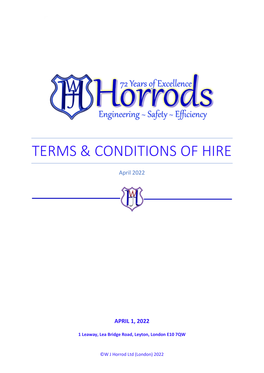

# TERMS & CONDITIONS OF HIRE

April 2022



# **APRIL 1, 2022**

**1 Leaway, Lea Bridge Road, Leyton, London E10 7QW**

©W J Horrod Ltd (London) 2022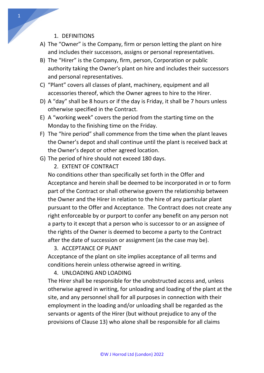#### 1. DEFINITIONS

- A) The "Owner" is the Company, firm or person letting the plant on hire and includes their successors, assigns or personal representatives.
- B) The "Hirer" is the Company, firm, person, Corporation or public authority taking the Owner's plant on hire and includes their successors and personal representatives.
- C) "Plant" covers all classes of plant, machinery, equipment and all accessories thereof, which the Owner agrees to hire to the Hirer.
- D) A "day" shall be 8 hours or if the day is Friday, it shall be 7 hours unless otherwise specified in the Contract.
- E) A "working week" covers the period from the starting time on the Monday to the finishing time on the Friday.
- F) The "hire period" shall commence from the time when the plant leaves the Owner's depot and shall continue until the plant is received back at the Owner's depot or other agreed location.
- G) The period of hire should not exceed 180 days.
	- 2. EXTENT OF CONTRACT

No conditions other than specifically set forth in the Offer and Acceptance and herein shall be deemed to be incorporated in or to form part of the Contract or shall otherwise govern the relationship between the Owner and the Hirer in relation to the hire of any particular plant pursuant to the Offer and Acceptance. The Contract does not create any right enforceable by or purport to confer any benefit on any person not a party to it except that a person who is successor to or an assignee of the rights of the Owner is deemed to become a party to the Contract after the date of succession or assignment (as the case may be).

3. ACCEPTANCE OF PLANT

Acceptance of the plant on site implies acceptance of all terms and conditions herein unless otherwise agreed in writing.

4. UNLOADING AND LOADING

The Hirer shall be responsible for the unobstructed access and, unless otherwise agreed in writing, for unloading and loading of the plant at the site, and any personnel shall for all purposes in connection with their employment in the loading and/or unloading shall be regarded as the servants or agents of the Hirer (but without prejudice to any of the provisions of Clause 13) who alone shall be responsible for all claims

1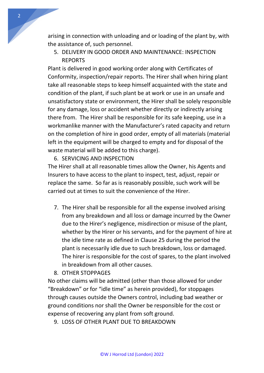arising in connection with unloading and or loading of the plant by, with the assistance of, such personnel.

5. DELIVERY IN GOOD ORDER AND MAINTENANCE: INSPECTION REPORTS

Plant is delivered in good working order along with Certificates of Conformity, inspection/repair reports. The Hirer shall when hiring plant take all reasonable steps to keep himself acquainted with the state and condition of the plant, if such plant be at work or use in an unsafe and unsatisfactory state or environment, the Hirer shall be solely responsible for any damage, loss or accident whether directly or indirectly arising there from. The Hirer shall be responsible for its safe keeping, use in a workmanlike manner with the Manufacturer's rated capacity and return on the completion of hire in good order, empty of all materials (material left in the equipment will be charged to empty and for disposal of the waste material will be added to this charge).

6. SERVICING AND INSPECTION

The Hirer shall at all reasonable times allow the Owner, his Agents and Insurers to have access to the plant to inspect, test, adjust, repair or replace the same. So far as is reasonably possible, such work will be carried out at times to suit the convenience of the Hirer.

7. The Hirer shall be responsible for all the expense involved arising from any breakdown and all loss or damage incurred by the Owner due to the Hirer's negligence, misdirection or misuse of the plant, whether by the Hirer or his servants, and for the payment of hire at the idle time rate as defined in Clause 25 during the period the plant is necessarily idle due to such breakdown, loss or damaged. The hirer is responsible for the cost of spares, to the plant involved in breakdown from all other causes.

8. OTHER STOPPAGES

No other claims will be admitted (other than those allowed for under "Breakdown" or for "idle time" as herein provided), for stoppages through causes outside the Owners control, including bad weather or ground conditions nor shall the Owner be responsible for the cost or expense of recovering any plant from soft ground.

9. LOSS OF OTHER PLANT DUE TO BREAKDOWN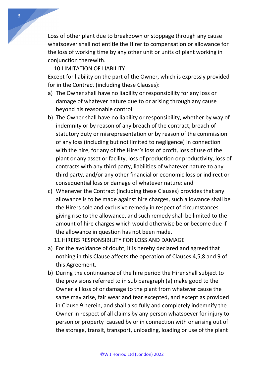Loss of other plant due to breakdown or stoppage through any cause whatsoever shall not entitle the Hirer to compensation or allowance for the loss of working time by any other unit or units of plant working in conjunction therewith.

#### 10.LIMITATION OF LIABILITY

Except for liability on the part of the Owner, which is expressly provided for in the Contract (including these Clauses):

- a) The Owner shall have no liability or responsibility for any loss or damage of whatever nature due to or arising through any cause beyond his reasonable control:
- b) The Owner shall have no liability or responsibility, whether by way of indemnity or by reason of any breach of the contract, breach of statutory duty or misrepresentation or by reason of the commission of any loss (including but not limited to negligence) in connection with the hire, for any of the Hirer's loss of profit, loss of use of the plant or any asset or facility, loss of production or productivity, loss of contracts with any third party, liabilities of whatever nature to any third party, and/or any other financial or economic loss or indirect or consequential loss or damage of whatever nature: and
- c) Whenever the Contract (including these Clauses) provides that any allowance is to be made against hire charges, such allowance shall be the Hirers sole and exclusive remedy in respect of circumstances giving rise to the allowance, and such remedy shall be limited to the amount of hire charges which would otherwise be or become due if the allowance in question has not been made.

11.HIRERS RESPONSIBILITY FOR LOSS AND DAMAGE

- a) For the avoidance of doubt, it is hereby declared and agreed that nothing in this Clause affects the operation of Clauses 4,5,8 and 9 of this Agreement.
- b) During the continuance of the hire period the Hirer shall subject to the provisions referred to in sub paragraph (a) make good to the Owner all loss of or damage to the plant from whatever cause the same may arise, fair wear and tear excepted, and except as provided in Clause 9 herein, and shall also fully and completely indemnify the Owner in respect of all claims by any person whatsoever for injury to person or property caused by or in connection with or arising out of the storage, transit, transport, unloading, loading or use of the plant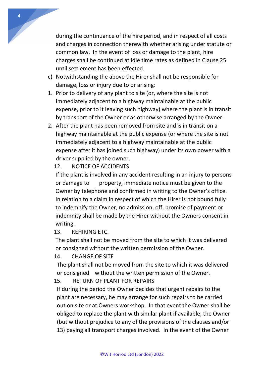during the continuance of the hire period, and in respect of all costs and charges in connection therewith whether arising under statute or common law. In the event of loss or damage to the plant, hire charges shall be continued at idle time rates as defined in Clause 25 until settlement has been effected.

- c) Notwithstanding the above the Hirer shall not be responsible for damage, loss or injury due to or arising:
- 1. Prior to delivery of any plant to site (or, where the site is not immediately adjacent to a highway maintainable at the public expense, prior to it leaving such highway) where the plant is in transit by transport of the Owner or as otherwise arranged by the Owner.
- 2. After the plant has been removed from site and is in transit on a highway maintainable at the public expense (or where the site is not immediately adjacent to a highway maintainable at the public expense after it has joined such highway) under its own power with a driver supplied by the owner.

## 12. NOTICE OF ACCIDENTS

4

If the plant is involved in any accident resulting in an injury to persons or damage to property, immediate notice must be given to the Owner by telephone and confirmed in writing to the Owner's office. In relation to a claim in respect of which the Hirer is not bound fully to indemnify the Owner, no admission, off, promise of payment or indemnity shall be made by the Hirer without the Owners consent in writing.

# 13. REHIRING ETC.

The plant shall not be moved from the site to which it was delivered or consigned without the written permission of the Owner.

## 14. CHANGE OF SITE

The plant shall not be moved from the site to which it was delivered or consigned without the written permission of the Owner.

# 15. RETURN OF PLANT FOR REPAIRS

If during the period the Owner decides that urgent repairs to the plant are necessary, he may arrange for such repairs to be carried out on site or at Owners workshop. In that event the Owner shall be obliged to replace the plant with similar plant if available, the Owner (but without prejudice to any of the provisions of the clauses and/or 13) paying all transport charges involved. In the event of the Owner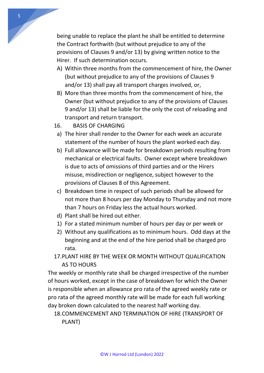being unable to replace the plant he shall be entitled to determine the Contract forthwith (but without prejudice to any of the provisions of Clauses 9 and/or 13) by giving written notice to the Hirer. If such determination occurs.

- A) Within three months from the commencement of hire, the Owner (but without prejudice to any of the provisions of Clauses 9 and/or 13) shall pay all transport charges involved, or,
- B) More than three months from the commencement of hire, the Owner (but without prejudice to any of the provisions of Clauses 9 and/or 13) shall be liable for the only the cost of reloading and transport and return transport.
- 16. BASIS OF CHARGING
- a) The hirer shall render to the Owner for each week an accurate statement of the number of hours the plant worked each day.
- b) Full allowance will be made for breakdown periods resulting from mechanical or electrical faults. Owner except where breakdown is due to acts of omissions of third parties and or the Hirers misuse, misdirection or negligence, subject however to the provisions of Clauses 8 of this Agreement.
- c) Breakdown time in respect of such periods shall be allowed for not more than 8 hours per day Monday to Thursday and not more than 7 hours on Friday less the actual hours worked.
- d) Plant shall be hired out either.
- 1) For a stated minimum number of hours per day or per week or
- 2) Without any qualifications as to minimum hours. Odd days at the beginning and at the end of the hire period shall be charged pro rata.
- 17.PLANT HIRE BY THE WEEK OR MONTH WITHOUT QUALIFICATION AS TO HOURS

The weekly or monthly rate shall be charged irrespective of the number of hours worked, except in the case of breakdown for which the Owner is responsible when an allowance pro rata of the agreed weekly rate or pro rata of the agreed monthly rate will be made for each full working day broken down calculated to the nearest half working day.

# 18.COMMENCEMENT AND TERMINATION OF HIRE (TRANSPORT OF PLANT)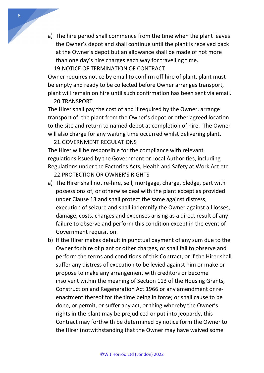a) The hire period shall commence from the time when the plant leaves the Owner's depot and shall continue until the plant is received back at the Owner's depot but an allowance shall be made of not more than one day's hire charges each way for travelling time. 19.NOTICE OF TERMINATION OF CONTRACT

Owner requires notice by email to confirm off hire of plant, plant must be empty and ready to be collected before Owner arranges transport, plant will remain on hire until such confirmation has been sent via email.

#### 20.TRANSPORT

The Hirer shall pay the cost of and if required by the Owner, arrange transport of, the plant from the Owner's depot or other agreed location to the site and return to named depot at completion of hire. The Owner will also charge for any waiting time occurred whilst delivering plant.

#### 21.GOVERNMENT REGULATIONS

The Hirer will be responsible for the compliance with relevant regulations issued by the Government or Local Authorities, including Regulations under the Factories Acts, Health and Safety at Work Act etc.

22.PROTECTION OR OWNER'S RIGHTS

- a) The Hirer shall not re-hire, sell, mortgage, charge, pledge, part with possessions of, or otherwise deal with the plant except as provided under Clause 13 and shall protect the same against distress, execution of seizure and shall indemnify the Owner against all losses, damage, costs, charges and expenses arising as a direct result of any failure to observe and perform this condition except in the event of Government requisition.
- b) If the Hirer makes default in punctual payment of any sum due to the Owner for hire of plant or other charges, or shall fail to observe and perform the terms and conditions of this Contract, or if the Hirer shall suffer any distress of execution to be levied against him or make or propose to make any arrangement with creditors or become insolvent within the meaning of Section 113 of the Housing Grants, Construction and Regeneration Act 1966 or any amendment or reenactment thereof for the time being in force; or shall cause to be done, or permit, or suffer any act, or thing whereby the Owner's rights in the plant may be prejudiced or put into jeopardy, this Contract may forthwith be determined by notice form the Owner to the Hirer (notwithstanding that the Owner may have waived some

6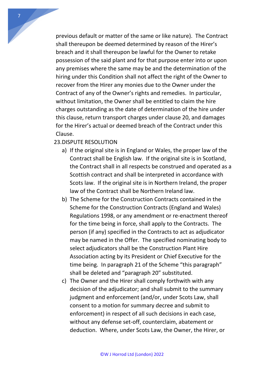previous default or matter of the same or like nature). The Contract shall thereupon be deemed determined by reason of the Hirer's breach and it shall thereupon be lawful for the Owner to retake possession of the said plant and for that purpose enter into or upon any premises where the same may be and the determination of the hiring under this Condition shall not affect the right of the Owner to recover from the Hirer any monies due to the Owner under the Contract of any of the Owner's rights and remedies. In particular, without limitation, the Owner shall be entitled to claim the hire charges outstanding as the date of determination of the hire under this clause, return transport charges under clause 20, and damages for the Hirer's actual or deemed breach of the Contract under this Clause.

#### 23.DISPUTE RESOLUTION

- a) If the original site is in England or Wales, the proper law of the Contract shall be English law. If the original site is in Scotland, the Contract shall in all respects be construed and operated as a Scottish contract and shall be interpreted in accordance with Scots law. If the original site is in Northern Ireland, the proper law of the Contract shall be Northern Ireland law.
- b) The Scheme for the Construction Contracts contained in the Scheme for the Construction Contracts (England and Wales) Regulations 1998, or any amendment or re-enactment thereof for the time being in force, shall apply to the Contracts. The person (if any) specified in the Contracts to act as adjudicator may be named in the Offer. The specified nominating body to select adjudicators shall be the Construction Plant Hire Association acting by its President or Chief Executive for the time being. In paragraph 21 of the Scheme "this paragraph" shall be deleted and "paragraph 20" substituted.
- c) The Owner and the Hirer shall comply forthwith with any decision of the adjudicator; and shall submit to the summary judgment and enforcement (and/or, under Scots Law, shall consent to a motion for summary decree and submit to enforcement) in respect of all such decisions in each case, without any defense set-off, counterclaim, abatement or deduction. Where, under Scots Law, the Owner, the Hirer, or